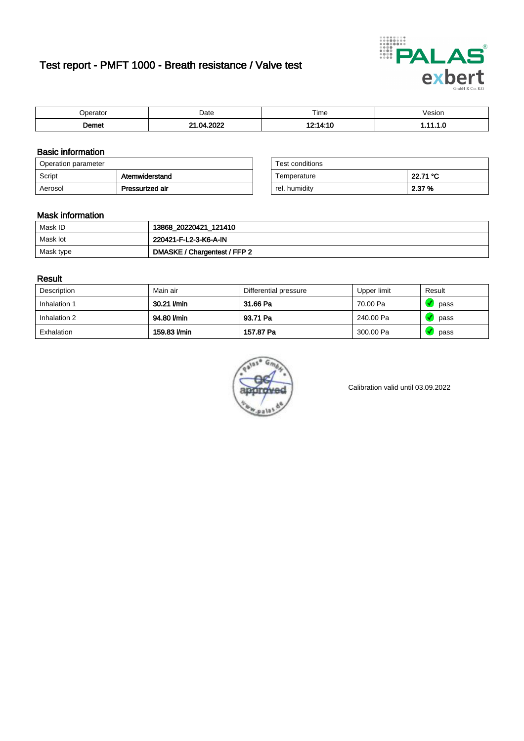# Test report - PMFT 1000 - Breath resistance / Valve test



| )perator | Date       | $- \cdot$<br>Time | /esion |
|----------|------------|-------------------|--------|
| ിണ്ടെ    | 0000<br>n. | 12.141<br>4. IU   | .      |

### Basic information

| Operation parameter |                 | Test conditions |          |
|---------------------|-----------------|-----------------|----------|
| Script              | Atemwiderstand  | Temperature     | 22.71 °C |
| Aerosol             | Pressurized air | rel. humidity   | 2.37 %   |

| Test conditions |          |
|-----------------|----------|
| Temperature     | 22.71 °C |
| rel. humidity   | 2.37 %   |

#### Mask information

| Mask ID   | 13868_20220421_121410        |
|-----------|------------------------------|
| Mask lot  | 220421-F-L2-3-K6-A-IN        |
| Mask type | DMASKE / Chargentest / FFP 2 |

### Result

| Description  | Main air     | Differential pressure | Upper limit | Result |
|--------------|--------------|-----------------------|-------------|--------|
| Inhalation 1 | 30.21 l/min  | 31.66 Pa              | 70.00 Pa    | pass   |
| Inhalation 2 | 94.80 l/min  | 93.71 Pa              | 240.00 Pa   | pass   |
| Exhalation   | 159.83 l/min | 157.87 Pa             | 300.00 Pa   | pass   |



Calibration valid until 03.09.2022